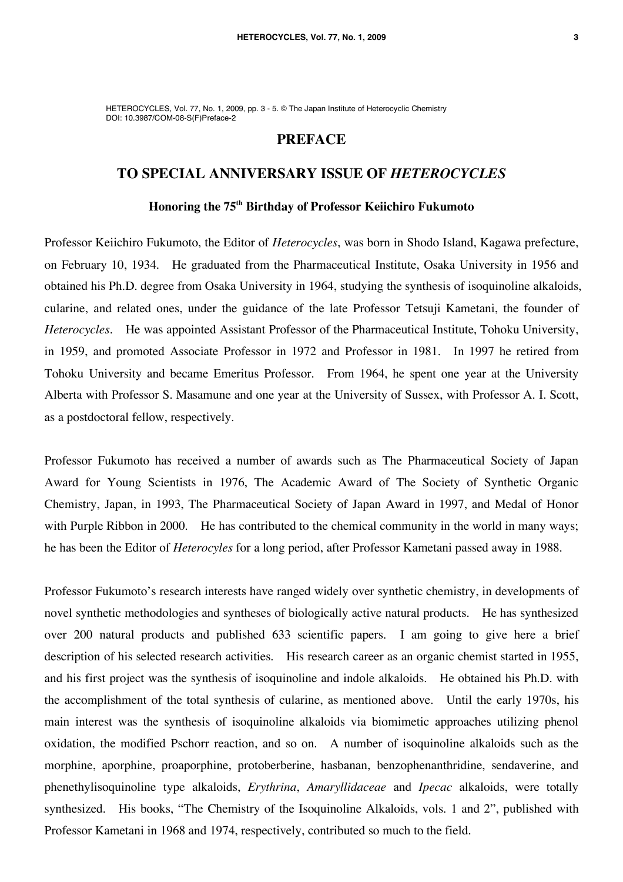HETEROCYCLES, Vol. 77, No. 1, 2009, pp. 3 - 5. © The Japan Institute of Heterocyclic Chemistry DOI: 10.3987/COM-08-S(F)Preface-2

## **PREFACE**

## **TO SPECIAL ANNIVERSARY ISSUE OF** *HETEROCYCLES*

## **Honoring the 75th Birthday of Professor Keiichiro Fukumoto**

Professor Keiichiro Fukumoto, the Editor of *Heterocycles*, was born in Shodo Island, Kagawa prefecture, on February 10, 1934. He graduated from the Pharmaceutical Institute, Osaka University in 1956 and obtained his Ph.D. degree from Osaka University in 1964, studying the synthesis of isoquinoline alkaloids, cularine, and related ones, under the guidance of the late Professor Tetsuji Kametani, the founder of *Heterocycles*. He was appointed Assistant Professor of the Pharmaceutical Institute, Tohoku University, in 1959, and promoted Associate Professor in 1972 and Professor in 1981. In 1997 he retired from Tohoku University and became Emeritus Professor. From 1964, he spent one year at the University Alberta with Professor S. Masamune and one year at the University of Sussex, with Professor A. I. Scott, as a postdoctoral fellow, respectively.

Professor Fukumoto has received a number of awards such as The Pharmaceutical Society of Japan Award for Young Scientists in 1976, The Academic Award of The Society of Synthetic Organic Chemistry, Japan, in 1993, The Pharmaceutical Society of Japan Award in 1997, and Medal of Honor with Purple Ribbon in 2000. He has contributed to the chemical community in the world in many ways; he has been the Editor of *Heterocyles* for a long period, after Professor Kametani passed away in 1988.

Professor Fukumoto's research interests have ranged widely over synthetic chemistry, in developments of novel synthetic methodologies and syntheses of biologically active natural products. He has synthesized over 200 natural products and published 633 scientific papers. I am going to give here a brief description of his selected research activities. His research career as an organic chemist started in 1955, and his first project was the synthesis of isoquinoline and indole alkaloids. He obtained his Ph.D. with the accomplishment of the total synthesis of cularine, as mentioned above. Until the early 1970s, his main interest was the synthesis of isoquinoline alkaloids via biomimetic approaches utilizing phenol oxidation, the modified Pschorr reaction, and so on. A number of isoquinoline alkaloids such as the morphine, aporphine, proaporphine, protoberberine, hasbanan, benzophenanthridine, sendaverine, and phenethylisoquinoline type alkaloids, *Erythrina*, *Amaryllidaceae* and *Ipecac* alkaloids, were totally synthesized. His books, "The Chemistry of the Isoquinoline Alkaloids, vols. 1 and 2", published with Professor Kametani in 1968 and 1974, respectively, contributed so much to the field.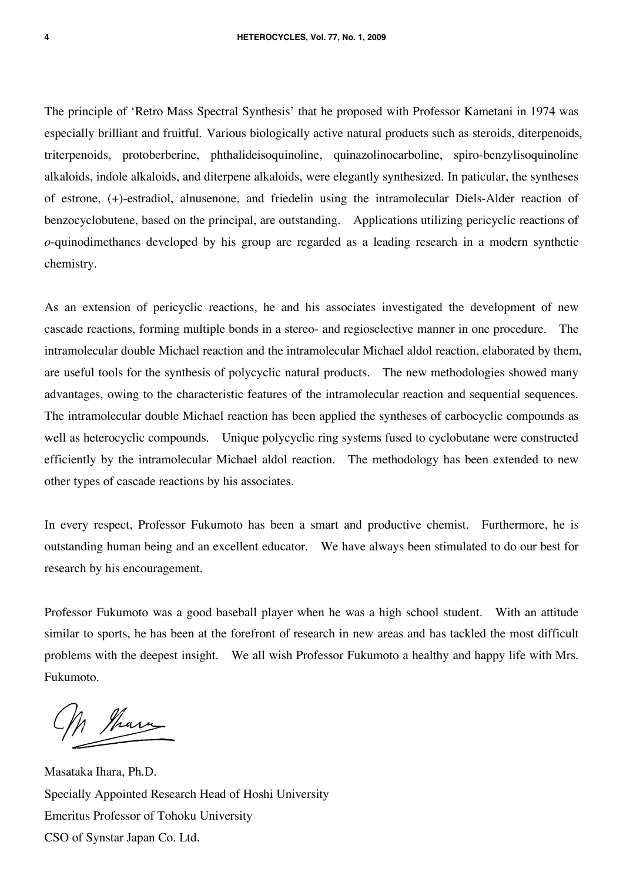The principle of 'Retro Mass Spectral Synthesis' that he proposed with Professor Kametani in 1974 was especially brilliant and fruitful. Various biologically active natural products such as steroids, diterpenoids, triterpenoids, protoberberine, phthalideisoquinoline, quinazolinocarboline, spiro-benzylisoquinoline alkaloids, indole alkaloids, and diterpene alkaloids, were elegantly synthesized. In paticular, the syntheses of estrone, (+)-estradiol, alnusenone, and friedelin using the intramolecular Diels-Alder reaction of benzocyclobutene, based on the principal, are outstanding. Applications utilizing pericyclic reactions of *o*-quinodimethanes developed by his group are regarded as a leading research in a modern synthetic chemistry.

As an extension of pericyclic reactions, he and his associates investigated the development of new cascade reactions, forming multiple bonds in a stereo- and regioselective manner in one procedure. The intramolecular double Michael reaction and the intramolecular Michael aldol reaction, elaborated by them, are useful tools for the synthesis of polycyclic natural products. The new methodologies showed many advantages, owing to the characteristic features of the intramolecular reaction and sequential sequences. The intramolecular double Michael reaction has been applied the syntheses of carbocyclic compounds as well as heterocyclic compounds. Unique polycyclic ring systems fused to cyclobutane were constructed efficiently by the intramolecular Michael aldol reaction. The methodology has been extended to new other types of cascade reactions by his associates.

In every respect, Professor Fukumoto has been a smart and productive chemist. Furthermore, he is outstanding human being and an excellent educator. We have always been stimulated to do our best for research by his encouragement.

Professor Fukumoto was a good baseball player when he was a high school student. With an attitude similar to sports, he has been at the forefront of research in new areas and has tackled the most difficult problems with the deepest insight. We all wish Professor Fukumoto a healthy and happy life with Mrs. Fukumoto.

h than

Masataka Ihara, Ph.D. Specially Appointed Research Head of Hoshi University Emeritus Professor of Tohoku University CSO of Synstar Japan Co. Ltd.